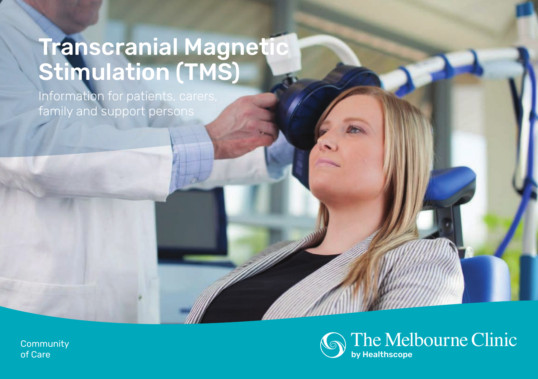# Transcranial Magnetic Stimulation (TMS)

Information for patients, carers, family and support persons



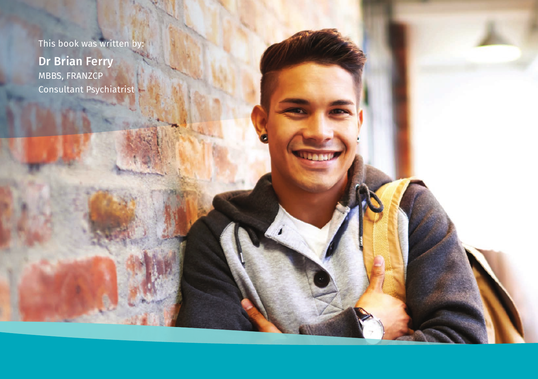This book was written by:

Dr Brian Ferry MBBS, FRANZCP Consultant Psychiatrist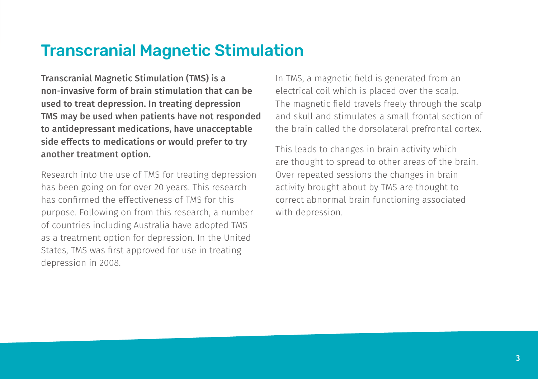## Transcranial Magnetic Stimulation

Transcranial Magnetic Stimulation (TMS) is a non-invasive form of brain stimulation that can be used to treat depression. In treating depression TMS may be used when patients have not responded to antidepressant medications, have unacceptable side effects to medications or would prefer to try another treatment option.

Research into the use of TMS for treating depression has been going on for over 20 years. This research has confirmed the effectiveness of TMS for this purpose. Following on from this research, a number of countries including Australia have adopted TMS as a treatment option for depression. In the United States, TMS was first approved for use in treating depression in 2008.

In TMS, a magnetic field is generated from an electrical coil which is placed over the scalp. The magnetic field travels freely through the scalp and skull and stimulates a small frontal section of the brain called the dorsolateral prefrontal cortex.

This leads to changes in brain activity which are thought to spread to other areas of the brain. Over repeated sessions the changes in brain activity brought about by TMS are thought to correct abnormal brain functioning associated with depression.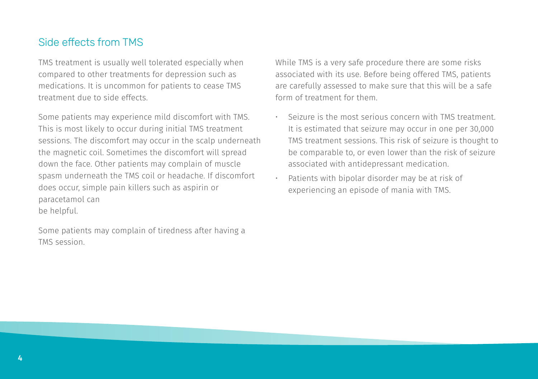## Side effects from TMS

TMS treatment is usually well tolerated especially when compared to other treatments for depression such as medications. It is uncommon for patients to cease TMS treatment due to side effects.

Some patients may experience mild discomfort with TMS. This is most likely to occur during initial TMS treatment sessions. The discomfort may occur in the scalp underneath the magnetic coil. Sometimes the discomfort will spread down the face. Other patients may complain of muscle spasm underneath the TMS coil or headache. If discomfort does occur, simple pain killers such as aspirin or paracetamol can be helpful.

Some patients may complain of tiredness after having a TMS session.

While TMS is a very safe procedure there are some risks associated with its use. Before being offered TMS, patients are carefully assessed to make sure that this will be a safe form of treatment for them.

- Seizure is the most serious concern with TMS treatment. It is estimated that seizure may occur in one per 30,000 TMS treatment sessions. This risk of seizure is thought to be comparable to, or even lower than the risk of seizure associated with antidepressant medication.
- Patients with bipolar disorder may be at risk of experiencing an episode of mania with TMS.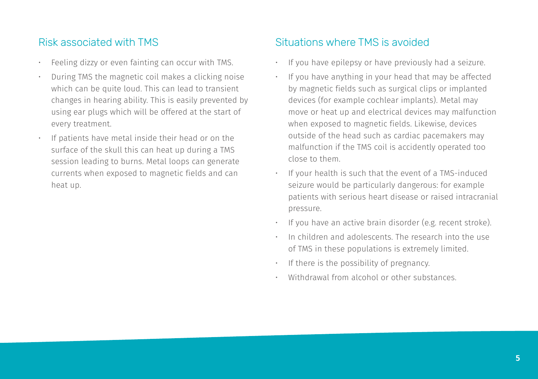## Risk associated with TMS

- Feeling dizzy or even fainting can occur with TMS.
- During TMS the magnetic coil makes a clicking noise which can be quite loud. This can lead to transient changes in hearing ability. This is easily prevented by using ear plugs which will be offered at the start of every treatment.
- If patients have metal inside their head or on the surface of the skull this can heat up during a TMS session leading to burns. Metal loops can generate currents when exposed to magnetic fields and can heat up.

## Situations where TMS is avoided

- If you have epilepsy or have previously had a seizure.
- If you have anything in your head that may be affected by magnetic fields such as surgical clips or implanted devices (for example cochlear implants). Metal may move or heat up and electrical devices may malfunction when exposed to magnetic fields. Likewise, devices outside of the head such as cardiac pacemakers may malfunction if the TMS coil is accidently operated too close to them.
- If your health is such that the event of a TMS-induced seizure would be particularly dangerous: for example patients with serious heart disease or raised intracranial pressure.
- If you have an active brain disorder (e.g. recent stroke).
- In children and adolescents. The research into the use of TMS in these populations is extremely limited.
- If there is the possibility of pregnancy.
- Withdrawal from alcohol or other substances.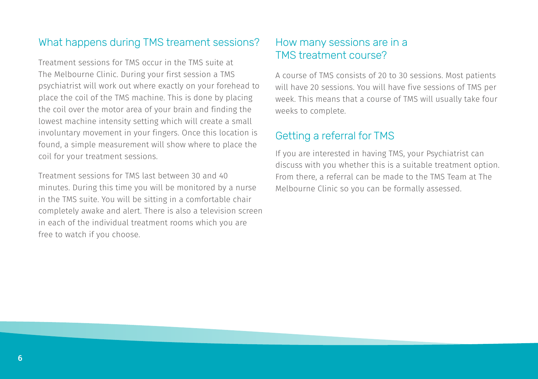## What happens during TMS treament sessions?

Treatment sessions for TMS occur in the TMS suite at The Melbourne Clinic. During your first session a TMS psychiatrist will work out where exactly on your forehead to place the coil of the TMS machine. This is done by placing the coil over the motor area of your brain and finding the lowest machine intensity setting which will create a small involuntary movement in your fingers. Once this location is found, a simple measurement will show where to place the coil for your treatment sessions.

Treatment sessions for TMS last between 30 and 40 minutes. During this time you will be monitored by a nurse in the TMS suite. You will be sitting in a comfortable chair completely awake and alert. There is also a television screen in each of the individual treatment rooms which you are free to watch if you choose.

#### How many sessions are in a TMS treatment course?

A course of TMS consists of 20 to 30 sessions. Most patients will have 20 sessions. You will have five sessions of TMS per week. This means that a course of TMS will usually take four weeks to complete.

## Getting a referral for TMS

If you are interested in having TMS, your Psychiatrist can discuss with you whether this is a suitable treatment option. From there, a referral can be made to the TMS Team at The Melbourne Clinic so you can be formally assessed.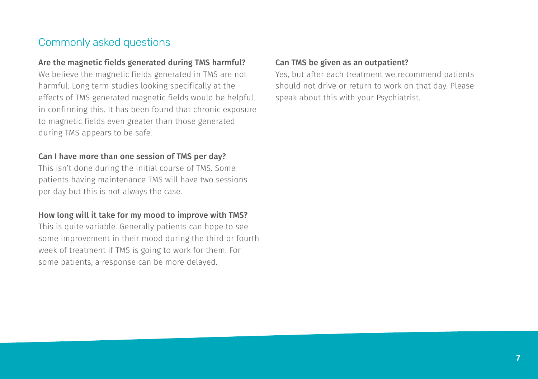## Commonly asked questions

#### Are the magnetic fields generated during TMS harmful?

We believe the magnetic fields generated in TMS are not harmful. Long term studies looking specifically at the effects of TMS generated magnetic fields would be helpful in confirming this. It has been found that chronic exposure to magnetic fields even greater than those generated during TMS appears to be safe.

#### Can I have more than one session of TMS per day?

This isn't done during the initial course of TMS. Some patients having maintenance TMS will have two sessions per day but this is not always the case.

#### How long will it take for my mood to improve with TMS?

This is quite variable. Generally patients can hope to see some improvement in their mood during the third or fourth week of treatment if TMS is going to work for them. For some patients, a response can be more delayed.

#### Can TMS be given as an outpatient?

Yes, but after each treatment we recommend patients should not drive or return to work on that day. Please speak about this with your Psychiatrist.